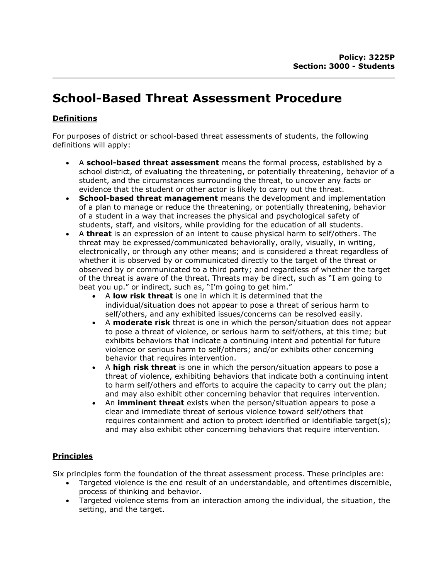# School-Based Threat Assessment Procedure

# **Definitions**

For purposes of district or school-based threat assessments of students, the following definitions will apply:

- A school-based threat assessment means the formal process, established by a school district, of evaluating the threatening, or potentially threatening, behavior of a student, and the circumstances surrounding the threat, to uncover any facts or evidence that the student or other actor is likely to carry out the threat.
- **School-based threat management** means the development and implementation of a plan to manage or reduce the threatening, or potentially threatening, behavior of a student in a way that increases the physical and psychological safety of students, staff, and visitors, while providing for the education of all students.
- $\bullet$  A threat is an expression of an intent to cause physical harm to self/others. The threat may be expressed/communicated behaviorally, orally, visually, in writing, electronically, or through any other means; and is considered a threat regardless of whether it is observed by or communicated directly to the target of the threat or observed by or communicated to a third party; and regardless of whether the target of the threat is aware of the threat. Threats may be direct, such as "I am going to beat you up." or indirect, such as, "I'm going to get him."
	- A **low risk threat** is one in which it is determined that the individual/situation does not appear to pose a threat of serious harm to self/others, and any exhibited issues/concerns can be resolved easily.
	- A moderate risk threat is one in which the person/situation does not appear to pose a threat of violence, or serious harm to self/others, at this time; but exhibits behaviors that indicate a continuing intent and potential for future violence or serious harm to self/others; and/or exhibits other concerning behavior that requires intervention.
	- A high risk threat is one in which the person/situation appears to pose a threat of violence, exhibiting behaviors that indicate both a continuing intent to harm self/others and efforts to acquire the capacity to carry out the plan; and may also exhibit other concerning behavior that requires intervention.
	- An *imminent threat* exists when the person/situation appears to pose a clear and immediate threat of serious violence toward self/others that requires containment and action to protect identified or identifiable target(s); and may also exhibit other concerning behaviors that require intervention.

# Principles

Six principles form the foundation of the threat assessment process. These principles are:

- Targeted violence is the end result of an understandable, and oftentimes discernible, process of thinking and behavior.
- Targeted violence stems from an interaction among the individual, the situation, the setting, and the target.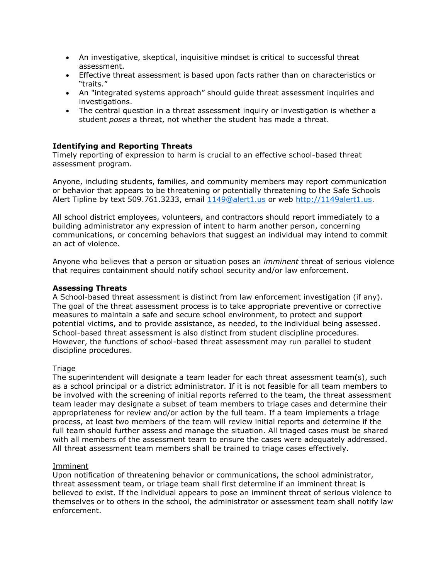- An investigative, skeptical, inquisitive mindset is critical to successful threat assessment.
- Effective threat assessment is based upon facts rather than on characteristics or "traits."
- An "integrated systems approach" should guide threat assessment inquiries and investigations.
- The central question in a threat assessment inquiry or investigation is whether a student poses a threat, not whether the student has made a threat.

## Identifying and Reporting Threats

Timely reporting of expression to harm is crucial to an effective school-based threat assessment program.

Anyone, including students, families, and community members may report communication or behavior that appears to be threatening or potentially threatening to the Safe Schools Alert Tipline by text 509.761.3233, email 1149@alert1.us or web http://1149alert1.us.

All school district employees, volunteers, and contractors should report immediately to a building administrator any expression of intent to harm another person, concerning communications, or concerning behaviors that suggest an individual may intend to commit an act of violence.

Anyone who believes that a person or situation poses an *imminent* threat of serious violence that requires containment should notify school security and/or law enforcement.

### Assessing Threats

A School-based threat assessment is distinct from law enforcement investigation (if any). The goal of the threat assessment process is to take appropriate preventive or corrective measures to maintain a safe and secure school environment, to protect and support potential victims, and to provide assistance, as needed, to the individual being assessed. School-based threat assessment is also distinct from student discipline procedures. However, the functions of school-based threat assessment may run parallel to student discipline procedures.

## Triage

The superintendent will designate a team leader for each threat assessment team(s), such as a school principal or a district administrator. If it is not feasible for all team members to be involved with the screening of initial reports referred to the team, the threat assessment team leader may designate a subset of team members to triage cases and determine their appropriateness for review and/or action by the full team. If a team implements a triage process, at least two members of the team will review initial reports and determine if the full team should further assess and manage the situation. All triaged cases must be shared with all members of the assessment team to ensure the cases were adequately addressed. All threat assessment team members shall be trained to triage cases effectively.

#### Imminent

Upon notification of threatening behavior or communications, the school administrator, threat assessment team, or triage team shall first determine if an imminent threat is believed to exist. If the individual appears to pose an imminent threat of serious violence to themselves or to others in the school, the administrator or assessment team shall notify law enforcement.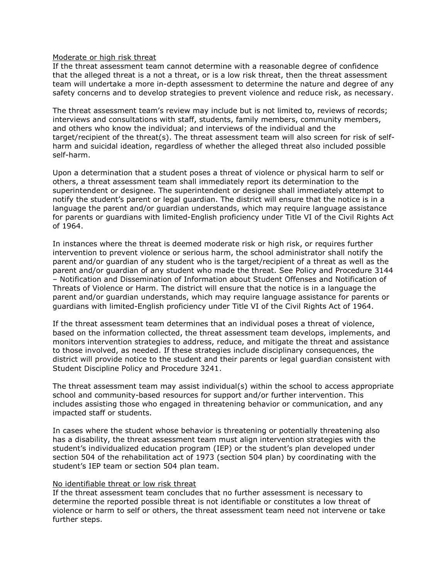#### Moderate or high risk threat

If the threat assessment team cannot determine with a reasonable degree of confidence that the alleged threat is a not a threat, or is a low risk threat, then the threat assessment team will undertake a more in-depth assessment to determine the nature and degree of any safety concerns and to develop strategies to prevent violence and reduce risk, as necessary.

The threat assessment team's review may include but is not limited to, reviews of records; interviews and consultations with staff, students, family members, community members, and others who know the individual; and interviews of the individual and the target/recipient of the threat(s). The threat assessment team will also screen for risk of selfharm and suicidal ideation, regardless of whether the alleged threat also included possible self-harm.

Upon a determination that a student poses a threat of violence or physical harm to self or others, a threat assessment team shall immediately report its determination to the superintendent or designee. The superintendent or designee shall immediately attempt to notify the student's parent or legal guardian. The district will ensure that the notice is in a language the parent and/or guardian understands, which may require language assistance for parents or guardians with limited-English proficiency under Title VI of the Civil Rights Act of 1964.

In instances where the threat is deemed moderate risk or high risk, or requires further intervention to prevent violence or serious harm, the school administrator shall notify the parent and/or guardian of any student who is the target/recipient of a threat as well as the parent and/or guardian of any student who made the threat. See Policy and Procedure 3144 – Notification and Dissemination of Information about Student Offenses and Notification of Threats of Violence or Harm. The district will ensure that the notice is in a language the parent and/or guardian understands, which may require language assistance for parents or guardians with limited-English proficiency under Title VI of the Civil Rights Act of 1964.

If the threat assessment team determines that an individual poses a threat of violence, based on the information collected, the threat assessment team develops, implements, and monitors intervention strategies to address, reduce, and mitigate the threat and assistance to those involved, as needed. If these strategies include disciplinary consequences, the district will provide notice to the student and their parents or legal guardian consistent with Student Discipline Policy and Procedure 3241.

The threat assessment team may assist individual(s) within the school to access appropriate school and community-based resources for support and/or further intervention. This includes assisting those who engaged in threatening behavior or communication, and any impacted staff or students.

In cases where the student whose behavior is threatening or potentially threatening also has a disability, the threat assessment team must align intervention strategies with the student's individualized education program (IEP) or the student's plan developed under section 504 of the rehabilitation act of 1973 (section 504 plan) by coordinating with the student's IEP team or section 504 plan team.

#### No identifiable threat or low risk threat

If the threat assessment team concludes that no further assessment is necessary to determine the reported possible threat is not identifiable or constitutes a low threat of violence or harm to self or others, the threat assessment team need not intervene or take further steps.